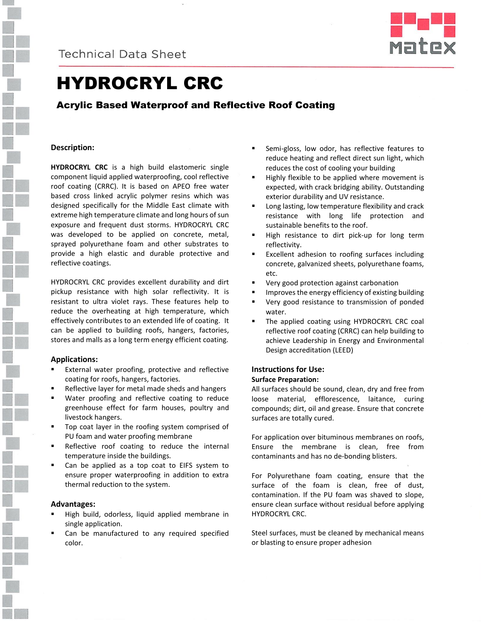



# HYDROCRYL CRC

# Acrylic Based Waterproof and Reflective Roof Coating

## **Description:**

**HYDROCRYL CRC** is a high build elastomeric single component liquid applied waterproofing, cool reflective roof coating (CRRC). It is based on APEO free water based cross linked acrylic polymer resins which was designed specifically for the Middle East climate with extreme high temperature climate and long hours of sun exposure and frequent dust storms. HYDROCRYL CRC was developed to be applied on concrete, metal, sprayed polyurethane foam and other substrates to provide a high elastic and durable protective and reflective coatings.

HYDROCRYL CRC provides excellent durability and dirt pickup resistance with high solar reflectivity. It is resistant to ultra violet rays. These features help to reduce the overheating at high temperature, which effectively contributes to an extended life of coating. It can be applied to building roofs, hangers, factories, stores and malls as a long term energy efficient coating.

#### **Applications:**

- External water proofing, protective and reflective coating for roofs, hangers, factories.
- Reflective layer for metal made sheds and hangers
- Water proofing and reflective coating to reduce greenhouse effect for farm houses, poultry and livestock hangers.
- Top coat layer in the roofing system comprised of PU foam and water proofing membrane
- Reflective roof coating to reduce the internal temperature inside the buildings.
- Can be applied as a top coat to EIFS system to ensure proper waterproofing in addition to extra thermal reduction to the system.

#### **Advantages:**

- High build, odorless, liquid applied membrane in single application.
- Can be manufactured to any required specified color.
- Semi-gloss, low odor, has reflective features to reduce heating and reflect direct sun light, which reduces the cost of cooling your building
- Highly flexible to be applied where movement is expected, with crack bridging ability. Outstanding exterior durability and UV resistance.
- Long lasting, low temperature flexibility and crack resistance with long life protection and sustainable benefits to the roof.
- High resistance to dirt pick-up for long term reflectivity.
- Excellent adhesion to roofing surfaces including concrete, galvanized sheets, polyurethane foams, etc.
- Very good protection against carbonation
- Improves the energy efficiency of existing building
- Very good resistance to transmission of ponded water.
- The applied coating using HYDROCRYL CRC coal reflective roof coating (CRRC) can help building to achieve Leadership in Energy and Environmental Design accreditation (LEED)

#### **Instructions for Use: Surface Preparation:**

All surfaces should be sound, clean, dry and free from loose material, efflorescence, laitance, curing compounds; dirt, oil and grease. Ensure that concrete surfaces are totally cured.

For application over bituminous membranes on roofs, Ensure the membrane is clean, free from contaminants and has no de-bonding blisters.

For Polyurethane foam coating, ensure that the surface of the foam is clean, free of dust, contamination. If the PU foam was shaved to slope, ensure clean surface without residual before applying HYDROCRYL CRC.

Steel surfaces, must be cleaned by mechanical means or blasting to ensure proper adhesion